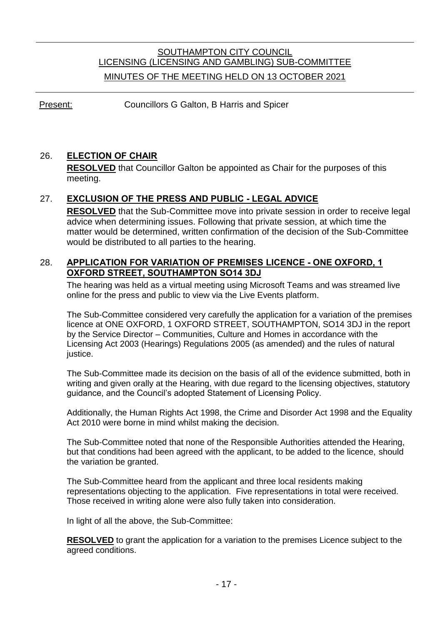# SOUTHAMPTON CITY COUNCIL LICENSING (LICENSING AND GAMBLING) SUB-COMMITTEE MINUTES OF THE MEETING HELD ON 13 OCTOBER 2021

Present: Councillors G Galton, B Harris and Spicer

## 26. **ELECTION OF CHAIR**

**RESOLVED** that Councillor Galton be appointed as Chair for the purposes of this meeting.

### 27. **EXCLUSION OF THE PRESS AND PUBLIC - LEGAL ADVICE**

**RESOLVED** that the Sub-Committee move into private session in order to receive legal advice when determining issues. Following that private session, at which time the matter would be determined, written confirmation of the decision of the Sub-Committee would be distributed to all parties to the hearing.

#### 28. **APPLICATION FOR VARIATION OF PREMISES LICENCE - ONE OXFORD, 1 OXFORD STREET, SOUTHAMPTON SO14 3DJ**

The hearing was held as a virtual meeting using Microsoft Teams and was streamed live online for the press and public to view via the Live Events platform.

The Sub-Committee considered very carefully the application for a variation of the premises licence at ONE OXFORD, 1 OXFORD STREET, SOUTHAMPTON, SO14 3DJ in the report by the Service Director – Communities, Culture and Homes in accordance with the Licensing Act 2003 (Hearings) Regulations 2005 (as amended) and the rules of natural justice.

The Sub-Committee made its decision on the basis of all of the evidence submitted, both in writing and given orally at the Hearing, with due regard to the licensing objectives, statutory guidance, and the Council's adopted Statement of Licensing Policy.

Additionally, the Human Rights Act 1998, the Crime and Disorder Act 1998 and the Equality Act 2010 were borne in mind whilst making the decision.

The Sub-Committee noted that none of the Responsible Authorities attended the Hearing, but that conditions had been agreed with the applicant, to be added to the licence, should the variation be granted.

The Sub-Committee heard from the applicant and three local residents making representations objecting to the application. Five representations in total were received. Those received in writing alone were also fully taken into consideration.

In light of all the above, the Sub-Committee:

**RESOLVED** to grant the application for a variation to the premises Licence subject to the agreed conditions.